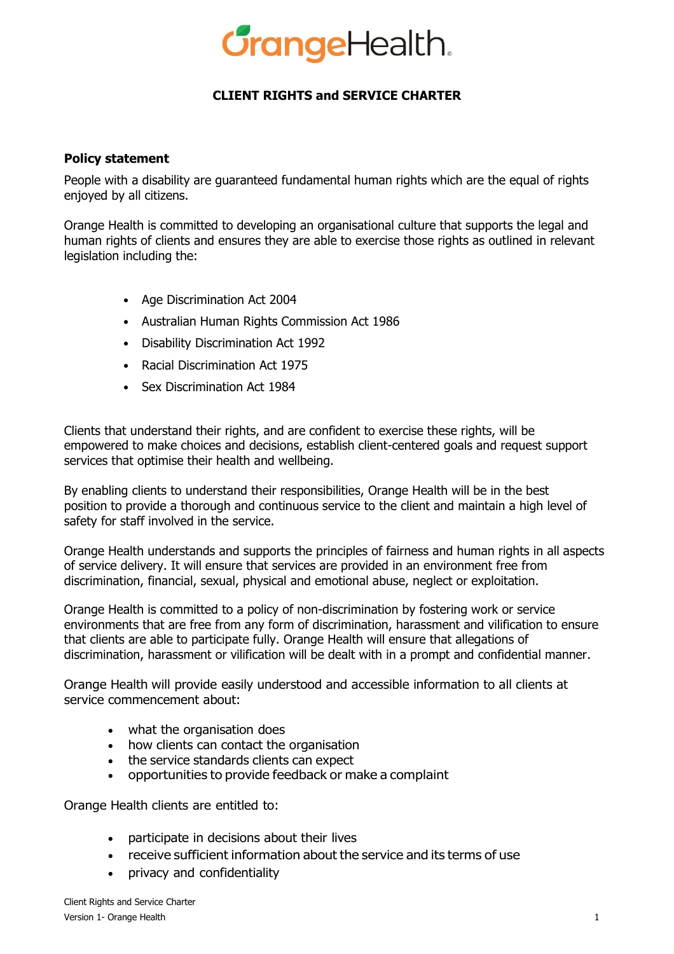

# **CLIENT RIGHTS and SERVICE CHARTER**

#### **Policy statement**

People with a disability are guaranteed fundamental human rights which are the equal of rights enjoyed by all citizens.

Orange Health is committed to developing an organisational culture that supports the legal and human rights of clients and ensures they are able to exercise those rights as outlined in relevant legislation including the:

- Age Discrimination Act 2004
- Australian Human Rights Commission Act 1986
- Disability Discrimination Act 1992
- Racial Discrimination Act 1975
- Sex Discrimination Act 1984

Clients that understand their rights, and are confident to exercise these rights, will be empowered to make choices and decisions, establish client-centered goals and request support services that optimise their health and wellbeing.

By enabling clients to understand their responsibilities, Orange Health will be in the best position to provide a thorough and continuous service to the client and maintain a high level of safety for staff involved in the service.

Orange Health understands and supports the principles of fairness and human rights in all aspects of service delivery. It will ensure that services are provided in an environment free from discrimination, financial, sexual, physical and emotional abuse, neglect or exploitation.

Orange Health is committed to a policy of non-discrimination by fostering work or service environments that are free from any form of discrimination, harassment and vilification to ensure that clients are able to participate fully. Orange Health will ensure that allegations of discrimination, harassment or vilification will be dealt with in a prompt and confidential manner.

Orange Health will provide easily understood and accessible information to all clients at service commencement about:

- what the organisation does
- how clients can contact the organisation
- the service standards clients can expect
- opportunities to provide feedback or make a complaint

Orange Health clients are entitled to:

- participate in decisions about their lives
- receive sufficient information about the service and its terms of use
- privacy and confidentiality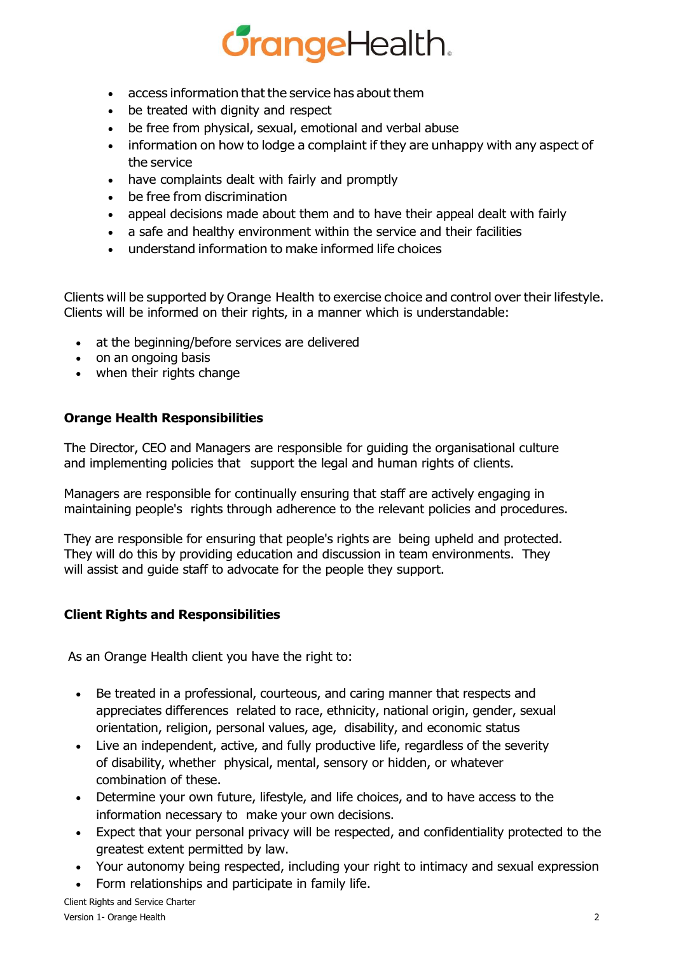# **GrangeHealth.**

- access information that the service has about them
- be treated with dignity and respect
- be free from physical, sexual, emotional and verbal abuse
- information on how to lodge a complaint if they are unhappy with any aspect of the service
- have complaints dealt with fairly and promptly
- be free from discrimination
- appeal decisions made about them and to have their appeal dealt with fairly
- a safe and healthy environment within the service and their facilities
- understand information to make informed life choices

Clients will be supported by Orange Health to exercise choice and control over their lifestyle. Clients will be informed on their rights, in a manner which is understandable:

- at the beginning/before services are delivered
- on an ongoing basis
- when their rights change

### **Orange Health Responsibilities**

The Director, CEO and Managers are responsible for guiding the organisational culture and implementing policies that support the legal and human rights of clients.

Managers are responsible for continually ensuring that staff are actively engaging in maintaining people's rights through adherence to the relevant policies and procedures.

They are responsible for ensuring that people's rights are being upheld and protected. They will do this by providing education and discussion in team environments. They will assist and guide staff to advocate for the people they support.

## **Client Rights and Responsibilities**

As an Orange Health client you have the right to:

- Be treated in a professional, courteous, and caring manner that respects and appreciates differences related to race, ethnicity, national origin, gender, sexual orientation, religion, personal values, age, disability, and economic status
- Live an independent, active, and fully productive life, regardless of the severity of disability, whether physical, mental, sensory or hidden, or whatever combination of these.
- Determine your own future, lifestyle, and life choices, and to have access to the information necessary to make your own decisions.
- Expect that your personal privacy will be respected, and confidentiality protected to the greatest extent permitted by law.
- Your autonomy being respected, including your right to intimacy and sexual expression
- Form relationships and participate in family life.

Client Rights and Service Charter Version 1- Orange Health 2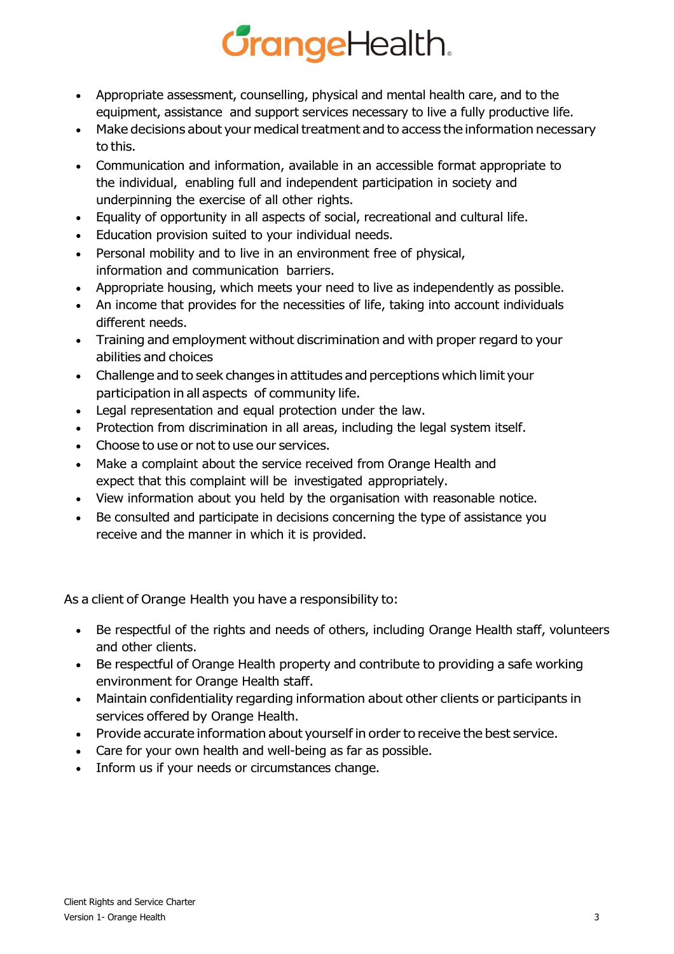# **GrangeHealth.**

- Appropriate assessment, counselling, physical and mental health care, and to the equipment, assistance and support services necessary to live a fully productive life.
- Make decisions about your medical treatment and to access the information necessary to this.
- Communication and information, available in an accessible format appropriate to the individual, enabling full and independent participation in society and underpinning the exercise of all other rights.
- Equality of opportunity in all aspects of social, recreational and cultural life.
- Education provision suited to your individual needs.
- Personal mobility and to live in an environment free of physical, information and communication barriers.
- Appropriate housing, which meets your need to live as independently as possible.
- An income that provides for the necessities of life, taking into account individuals different needs.
- Training and employment without discrimination and with proper regard to your abilities and choices
- Challenge and to seek changes in attitudes and perceptions which limit your participation in all aspects of community life.
- Legal representation and equal protection under the law.
- Protection from discrimination in all areas, including the legal system itself.
- Choose to use or not to use our services.
- Make a complaint about the service received from Orange Health and expect that this complaint will be investigated appropriately.
- View information about you held by the organisation with reasonable notice.
- Be consulted and participate in decisions concerning the type of assistance you receive and the manner in which it is provided.

As a client of Orange Health you have a responsibility to:

- Be respectful of the rights and needs of others, including Orange Health staff, volunteers and other clients.
- Be respectful of Orange Health property and contribute to providing a safe working environment for Orange Health staff.
- Maintain confidentiality regarding information about other clients or participants in services offered by Orange Health.
- Provide accurate information about yourself in order to receive the best service.
- Care for your own health and well-being as far as possible.
- Inform us if your needs or circumstances change.